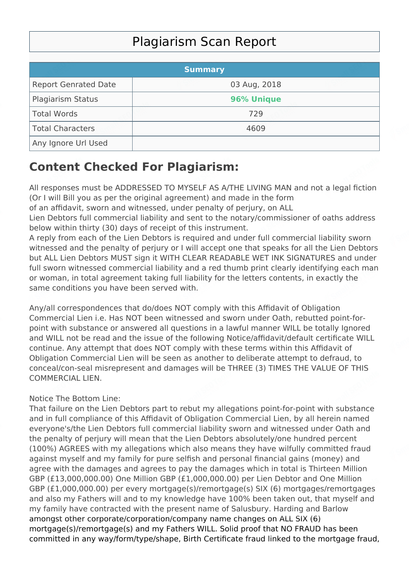## Plagiarism Scan Report

|                             | <b>Summary</b> |  |
|-----------------------------|----------------|--|
| <b>Report Genrated Date</b> | 03 Aug, 2018   |  |
| Plagiarism Status           | 96% Unique     |  |
| Total Words                 | 729            |  |
| Total Characters            | 4609           |  |
| Any Ignore Url Used         |                |  |

## **Content Checked For Plagiarism:**

All responses must be ADDRESSED TO MYSELF AS A/THE LIVING MAN and not a legal fiction (Or I will Bill you as per the original agreement) and made in the form

of an affidavit, sworn and witnessed, under penalty of perjury, on ALL

Lien Debtors full commercial liability and sent to the notary/commissioner of oaths address below within thirty (30) days of receipt of this instrument.

A reply from each of the Lien Debtors is required and under full commercial liability sworn witnessed and the penalty of perjury or I will accept one that speaks for all the Lien Debtors but ALL Lien Debtors MUST sign it WITH CLEAR READABLE WET INK SIGNATURES and under full sworn witnessed commercial liability and a red thumb print clearly identifying each man or woman, in total agreement taking full liability for the letters contents, in exactly the same conditions you have been served with.

Any/all correspondences that do/does NOT comply with this Affidavit of Obligation Commercial Lien i.e. Has NOT been witnessed and sworn under Oath, rebutted point-forpoint with substance or answered all questions in a lawful manner WILL be totally Ignored and WILL not be read and the issue of the following Notice/affidavit/default certificate WILL continue. Any attempt that does NOT comply with these terms within this Affidavit of Obligation Commercial Lien will be seen as another to deliberate attempt to defraud, to conceal/con-seal misrepresent and damages will be THREE (3) TIMES THE VALUE OF THIS COMMERCIAL LIEN.

## Notice The Bottom Line:

That failure on the Lien Debtors part to rebut my allegations point-for-point with substance and in full compliance of this Affidavit of Obligation Commercial Lien, by all herein named everyone's/the Lien Debtors full commercial liability sworn and witnessed under Oath and the penalty of perjury will mean that the Lien Debtors absolutely/one hundred percent (100%) AGREES with my allegations which also means they have wilfully committed fraud against myself and my family for pure selfish and personal financial gains (money) and agree with the damages and agrees to pay the damages which in total is Thirteen Million GBP (£13,000,000.00) One Million GBP (£1,000,000.00) per Lien Debtor and One Million GBP (£1,000,000.00) per every mortgage(s)/remortgage(s) SIX (6) mortgages/remortgages and also my Fathers will and to my knowledge have 100% been taken out, that myself and my family have contracted with the present name of Salusbury. Harding and Barlow amongst other corporate/corporation/company name changes on ALL SIX (6) mortgage(s)/remortgage(s) and my Fathers WILL. Solid proof that NO FRAUD has been committed in any way/form/type/shape, Birth Certificate fraud linked to the mortgage fraud,